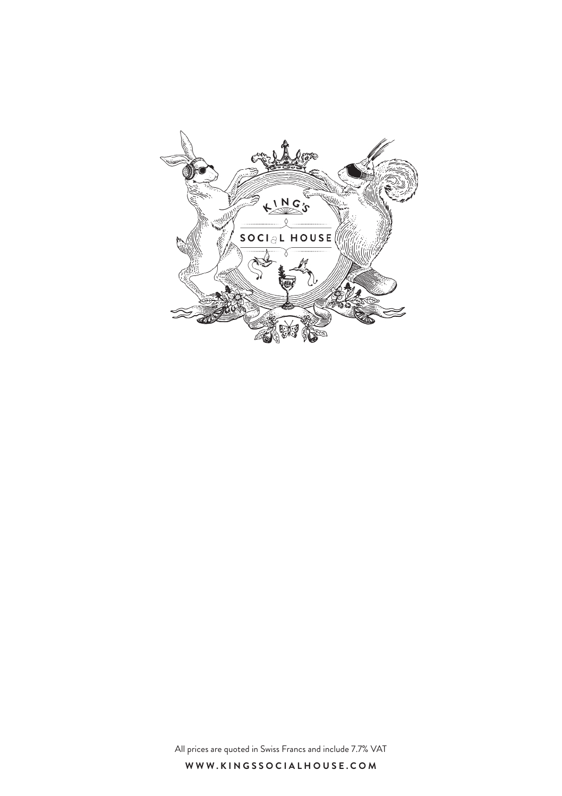

All prices are quoted in Swiss Francs and include 7.7% VAT

**WWW.KINGSSOCIALHOUSE.COM**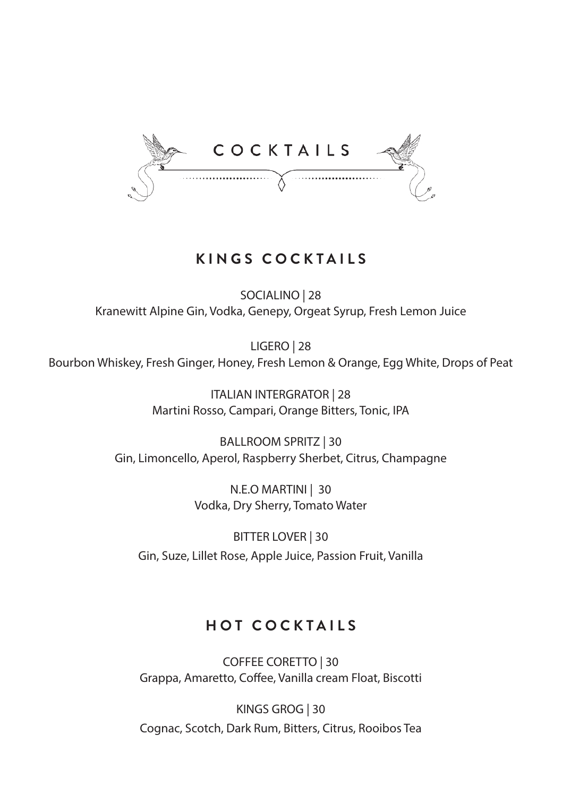

### **KINGS COCKTAILS**

SOCIALINO | 28 Kranewitt Alpine Gin, Vodka, Genepy, Orgeat Syrup, Fresh Lemon Juice

LIGERO | 28 Bourbon Whiskey, Fresh Ginger, Honey, Fresh Lemon & Orange, Egg White, Drops of Peat

> ITALIAN INTERGRATOR | 28 Martini Rosso, Campari, Orange Bitters, Tonic, IPA

BALLROOM SPRITZ | 30 Gin, Limoncello, Aperol, Raspberry Sherbet, Citrus, Champagne

> N.E.O MARTINI | 30 Vodka, Dry Sherry, Tomato Water

BITTER LOVER | 30 Gin, Suze, Lillet Rose, Apple Juice, Passion Fruit, Vanilla

### **HOT COCKTAILS**

COFFEE CORETTO | 30 Grappa, Amaretto, Coffee, Vanilla cream Float, Biscotti

KINGS GROG | 30 Cognac, Scotch, Dark Rum, Bitters, Citrus, Rooibos Tea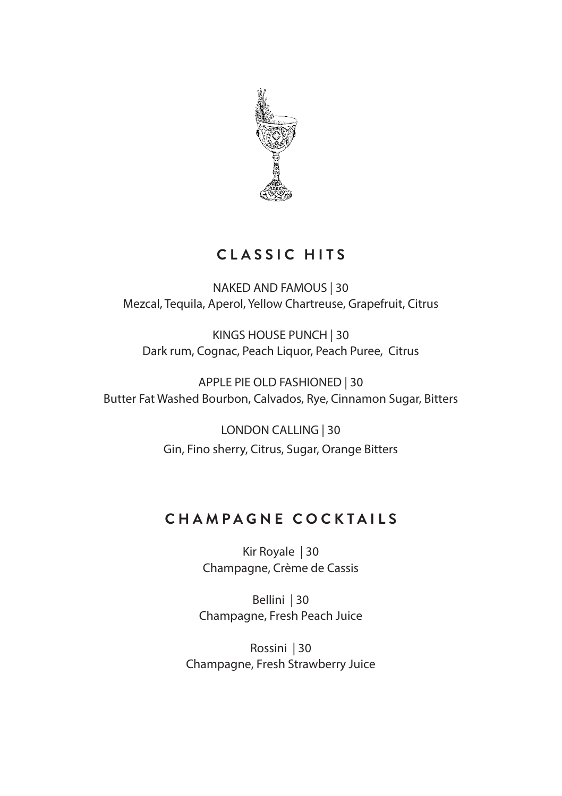

### **CLASSIC HITS**

NAKED AND FAMOUS | 30 Mezcal, Tequila, Aperol, Yellow Chartreuse, Grapefruit, Citrus

KINGS HOUSE PUNCH | 30 Dark rum, Cognac, Peach Liquor, Peach Puree, Citrus

APPLE PIE OLD FASHIONED | 30 Butter Fat Washed Bourbon, Calvados, Rye, Cinnamon Sugar, Bitters

> LONDON CALLING | 30 Gin, Fino sherry, Citrus, Sugar, Orange Bitters

### **CHAMPAGNE COCKTAILS**

Kir Royale | 30 Champagne, Crème de Cassis

Bellini | 30 Champagne, Fresh Peach Juice

Rossini | 30 Champagne, Fresh Strawberry Juice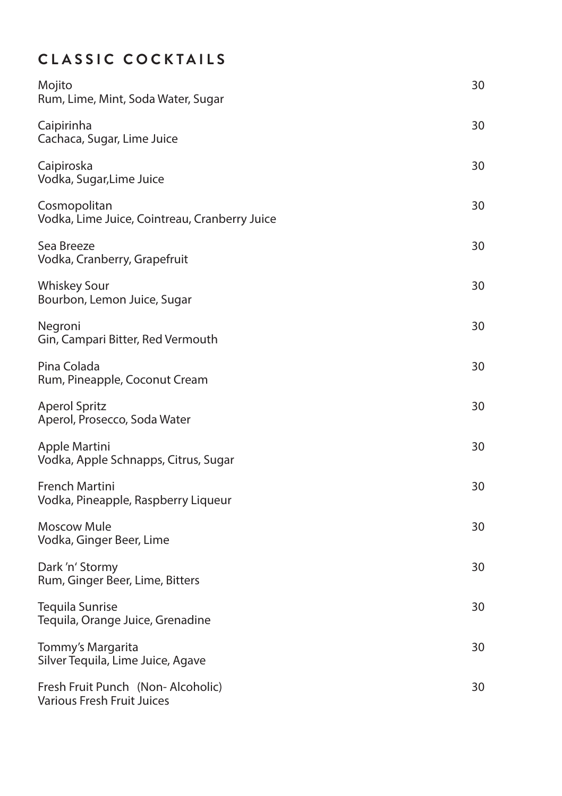# **CLASSIC COCKTAILS**

| Mojito<br>Rum, Lime, Mint, Soda Water, Sugar                    | 30 |
|-----------------------------------------------------------------|----|
| Caipirinha<br>Cachaca, Sugar, Lime Juice                        | 30 |
| Caipiroska<br>Vodka, Sugar, Lime Juice                          | 30 |
| Cosmopolitan<br>Vodka, Lime Juice, Cointreau, Cranberry Juice   | 30 |
| Sea Breeze<br>Vodka, Cranberry, Grapefruit                      | 30 |
| <b>Whiskey Sour</b><br>Bourbon, Lemon Juice, Sugar              | 30 |
| Negroni<br>Gin, Campari Bitter, Red Vermouth                    | 30 |
| Pina Colada<br>Rum, Pineapple, Coconut Cream                    | 30 |
| <b>Aperol Spritz</b><br>Aperol, Prosecco, Soda Water            | 30 |
| Apple Martini<br>Vodka, Apple Schnapps, Citrus, Sugar           | 30 |
| French Martini<br>Vodka, Pineapple, Raspberry Liqueur           | 30 |
| Moscow Mule<br>Vodka, Ginger Beer, Lime                         | 30 |
| Dark 'n' Stormy<br>Rum, Ginger Beer, Lime, Bitters              | 30 |
| Tequila Sunrise<br>Tequila, Orange Juice, Grenadine             | 30 |
| Tommy's Margarita<br>Silver Tequila, Lime Juice, Agave          | 30 |
| Fresh Fruit Punch (Non-Alcoholic)<br>Various Fresh Fruit Juices | 30 |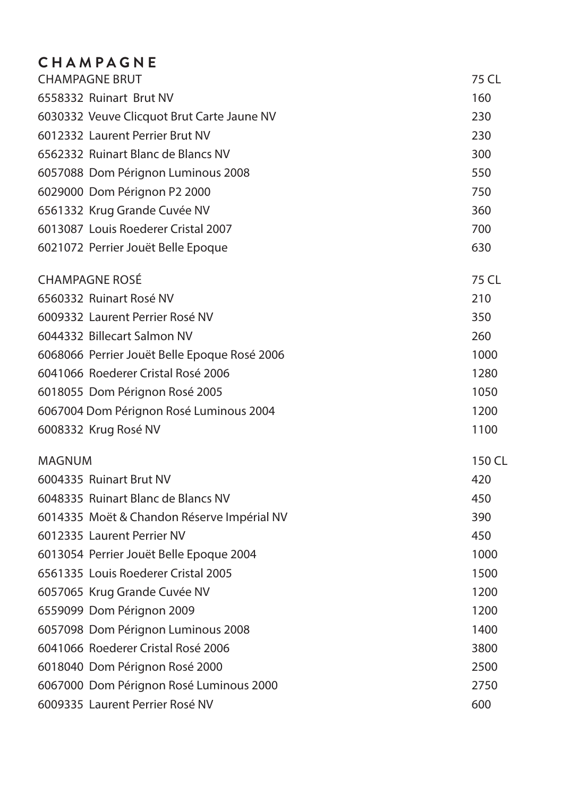# **CHAMPAGNE**

|               | <b>CHAMPAGNE BRUT</b>                        | 75 CL  |
|---------------|----------------------------------------------|--------|
|               | 6558332 Ruinart Brut NV                      | 160    |
|               | 6030332 Veuve Clicquot Brut Carte Jaune NV   | 230    |
|               | 6012332 Laurent Perrier Brut NV              | 230    |
|               | 6562332 Ruinart Blanc de Blancs NV           | 300    |
|               | 6057088 Dom Pérignon Luminous 2008           | 550    |
|               | 6029000 Dom Pérignon P2 2000                 | 750    |
|               | 6561332 Krug Grande Cuvée NV                 | 360    |
|               | 6013087 Louis Roederer Cristal 2007          | 700    |
|               | 6021072 Perrier Jouët Belle Epoque           | 630    |
|               | <b>CHAMPAGNE ROSÉ</b>                        | 75 CL  |
|               | 6560332 Ruinart Rosé NV                      | 210    |
|               | 6009332 Laurent Perrier Rosé NV              | 350    |
|               | 6044332 Billecart Salmon NV                  | 260    |
|               | 6068066 Perrier Jouët Belle Epoque Rosé 2006 | 1000   |
|               | 6041066 Roederer Cristal Rosé 2006           | 1280   |
|               | 6018055 Dom Pérignon Rosé 2005               | 1050   |
|               | 6067004 Dom Pérignon Rosé Luminous 2004      | 1200   |
|               | 6008332 Krug Rosé NV                         | 1100   |
| <b>MAGNUM</b> |                                              | 150 CL |
|               | 6004335 Ruinart Brut NV                      | 420    |
|               | 6048335 Ruinart Blanc de Blancs NV           | 450    |
|               | 6014335 Moët & Chandon Réserve Impérial NV   | 390    |
|               | 6012335 Laurent Perrier NV                   | 450    |
|               | 6013054 Perrier Jouët Belle Epoque 2004      | 1000   |
|               | 6561335 Louis Roederer Cristal 2005          | 1500   |
|               | 6057065 Krug Grande Cuvée NV                 | 1200   |
|               | 6559099 Dom Pérignon 2009                    | 1200   |
|               | 6057098 Dom Pérignon Luminous 2008           | 1400   |
|               | 6041066 Roederer Cristal Rosé 2006           | 3800   |
|               | 6018040 Dom Pérignon Rosé 2000               | 2500   |
|               | 6067000 Dom Pérignon Rosé Luminous 2000      | 2750   |
|               | 6009335 Laurent Perrier Rosé NV              | 600    |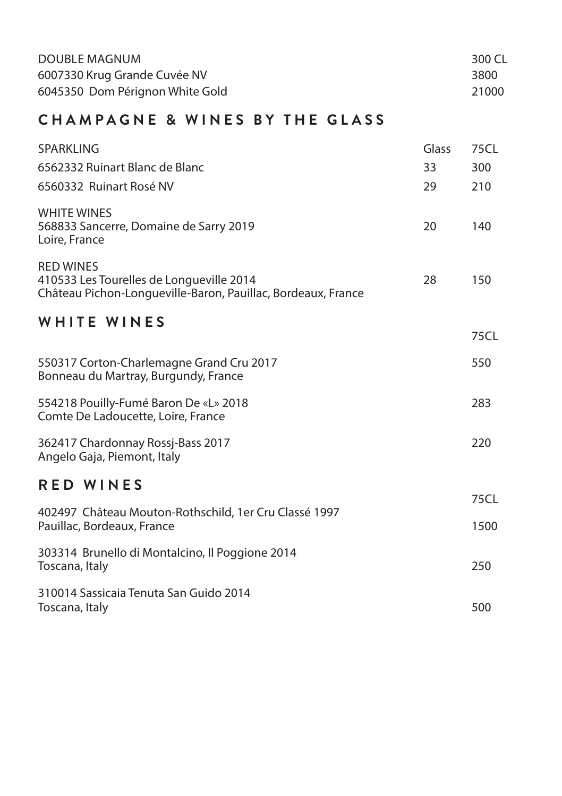| DOUBLE MAGNUM                   | 300 CL |
|---------------------------------|--------|
| 6007330 Krug Grande Cuvée NV    | 3800   |
| 6045350 Dom Pérignon White Gold | 21000  |

## **CHAMPAGNE & WINES BY THE GLASS**

| SPARKLING                                                                                                                    | Glass | 75CL |
|------------------------------------------------------------------------------------------------------------------------------|-------|------|
| 6562332 Ruinart Blanc de Blanc                                                                                               | 33    | 300  |
| 6560332 Ruinart Rosé NV                                                                                                      | 29    | 210  |
| <b>WHITE WINES</b><br>568833 Sancerre, Domaine de Sarry 2019<br>Loire, France                                                | 20    | 140  |
| <b>RED WINES</b><br>410533 Les Tourelles de Longueville 2014<br>Château Pichon-Longueville-Baron, Pauillac, Bordeaux, France | 28    | 150  |
| <b>WHITE WINES</b>                                                                                                           |       | 75CL |
| 550317 Corton-Charlemagne Grand Cru 2017<br>Bonneau du Martray, Burgundy, France                                             |       | 550  |
| 554218 Pouilly-Fumé Baron De «L» 2018<br>Comte De Ladoucette, Loire, France                                                  |       | 283  |
| 362417 Chardonnay Rossj-Bass 2017<br>Angelo Gaja, Piemont, Italy                                                             |       | 220  |
| <b>RED WINES</b>                                                                                                             |       |      |
| 402497 Château Mouton-Rothschild, 1er Cru Classé 1997                                                                        |       | 75CL |
| Pauillac, Bordeaux, France                                                                                                   |       | 1500 |
| 303314 Brunello di Montalcino, Il Poggione 2014<br>Toscana, Italy                                                            |       | 250  |
| 310014 Sassicaia Tenuta San Guido 2014<br>Toscana, Italy                                                                     |       | 500  |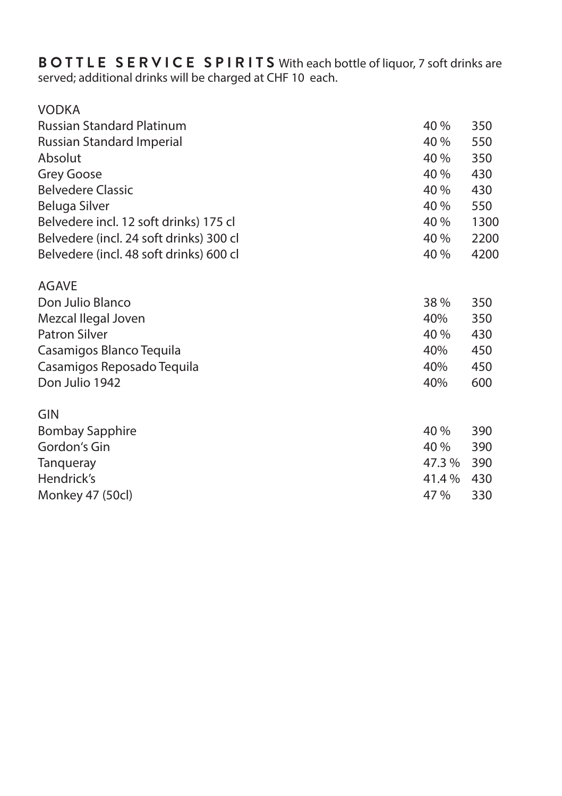**BOTTLE SERVICE SPIRITS** With each bottle of liquor, 7 soft drinks are served; additional drinks will be charged at CHF 10 each.

| <b>VODKA</b>                            |       |      |
|-----------------------------------------|-------|------|
| <b>Russian Standard Platinum</b>        | 40 %  | 350  |
| Russian Standard Imperial               | 40 %  | 550  |
| Absolut                                 | 40 %  | 350  |
| Grey Goose                              | 40 %  | 430  |
| <b>Belvedere Classic</b>                | 40 %  | 430  |
| Beluga Silver                           | 40 %  | 550  |
| Belvedere incl. 12 soft drinks) 175 cl  | 40 %  | 1300 |
| Belvedere (incl. 24 soft drinks) 300 cl | 40 %  | 2200 |
| Belvedere (incl. 48 soft drinks) 600 cl | 40 %  | 4200 |
| <b>AGAVE</b>                            |       |      |
| Don Julio Blanco                        | 38%   | 350  |
| Mezcal Ilegal Joven                     | 40%   | 350  |
| <b>Patron Silver</b>                    | 40 %  | 430  |
| Casamigos Blanco Tequila                | 40%   | 450  |
| Casamigos Reposado Tequila              | 40%   | 450  |
| Don Julio 1942                          | 40%   | 600  |
| GIN                                     |       |      |
| Bombay Sapphire                         | 40 %  | 390  |
| Gordon's Gin                            | 40 %  | 390  |
| Tangueray                               | 47.3% | 390  |
| Hendrick's                              | 41.4% | 430  |
| Monkey 47 (50cl)                        | 47 %  | 330  |
|                                         |       |      |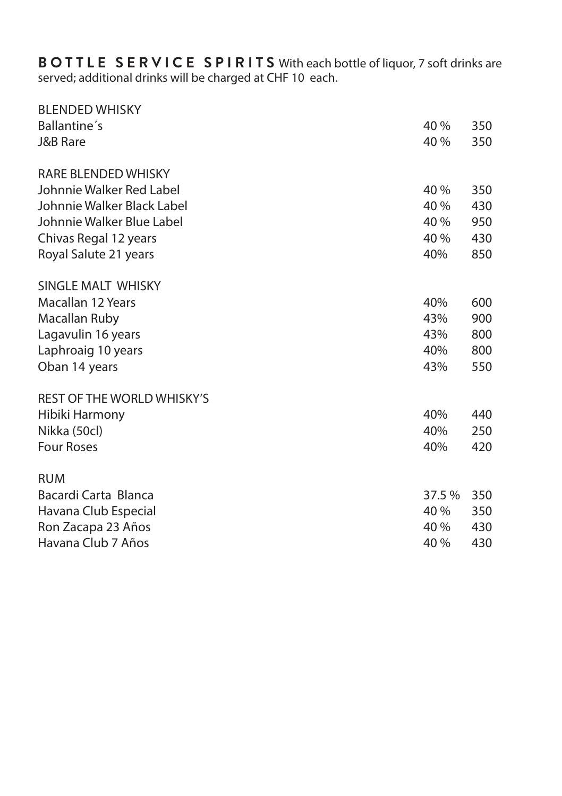**BOTTLE SERVICE SPIRITS** With each bottle of liquor, 7 soft drinks are served; additional drinks will be charged at CHF 10 each.

| 40 %   | 350 |
|--------|-----|
| 40 %   | 350 |
|        |     |
| 40 %   | 350 |
| 40 %   | 430 |
| 40 %   | 950 |
| 40 %   | 430 |
| 40%    | 850 |
|        |     |
| 40%    | 600 |
| 43%    | 900 |
| 43%    | 800 |
| 40%    | 800 |
| 43%    | 550 |
|        |     |
| 40%    | 440 |
| 40%    | 250 |
| 40%    | 420 |
|        |     |
| 37.5 % | 350 |
| 40 %   | 350 |
| 40 %   | 430 |
| 40 %   | 430 |
|        |     |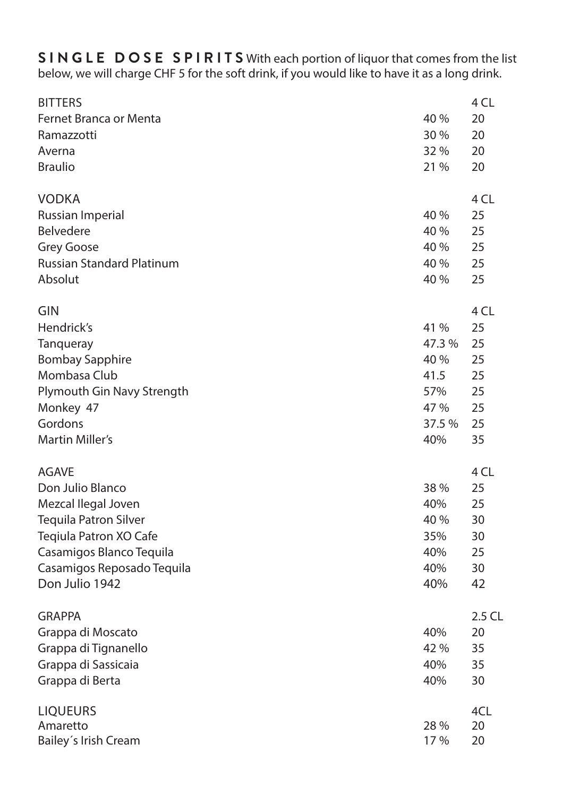**SINGLE DOSE SPIRITS** With each portion of liquor that comes from the list below, we will charge CHF 5 for the soft drink, if you would like to have it as a long drink.

| <b>BITTERS</b>                   |        | 4 CL   |
|----------------------------------|--------|--------|
| Fernet Branca or Menta           | 40 %   | 20     |
| Ramazzotti                       | 30 %   | 20     |
| Averna                           | 32 %   | 20     |
| <b>Braulio</b>                   | 21 %   | 20     |
| <b>VODKA</b>                     |        | 4 CL   |
| Russian Imperial                 | 40 %   | 25     |
| <b>Belvedere</b>                 | 40 %   | 25     |
| <b>Grey Goose</b>                | 40 %   | 25     |
| <b>Russian Standard Platinum</b> | 40 %   | 25     |
| Absolut                          | 40 %   | 25     |
| GIN                              |        | 4 CL   |
| Hendrick's                       | 41 %   | 25     |
| Tanqueray                        | 47.3%  | 25     |
| <b>Bombay Sapphire</b>           | 40 %   | 25     |
| Mombasa Club                     | 41.5   | 25     |
| Plymouth Gin Navy Strength       | 57%    | 25     |
| Monkey 47                        | 47 %   | 25     |
| Gordons                          | 37.5 % | 25     |
| Martin Miller's                  | 40%    | 35     |
| <b>AGAVE</b>                     |        | 4 CL   |
| Don Julio Blanco                 | 38 %   | 25     |
| Mezcal Ilegal Joven              | 40%    | 25     |
| <b>Tequila Patron Silver</b>     | 40 %   | 30     |
| Teqiula Patron XO Cafe           | 35%    | 30     |
| Casamigos Blanco Tequila         | 40%    | 25     |
| Casamigos Reposado Tequila       | 40%    | 30     |
| Don Julio 1942                   | 40%    | 42     |
| <b>GRAPPA</b>                    |        | 2.5 CL |
| Grappa di Moscato                | 40%    | 20     |
| Grappa di Tignanello             | 42 %   | 35     |
| Grappa di Sassicaia              | 40%    | 35     |
| Grappa di Berta                  | 40%    | 30     |
| <b>LIQUEURS</b>                  |        | 4CL    |
| Amaretto                         | 28 %   | 20     |
| Bailey's Irish Cream             | 17 %   | 20     |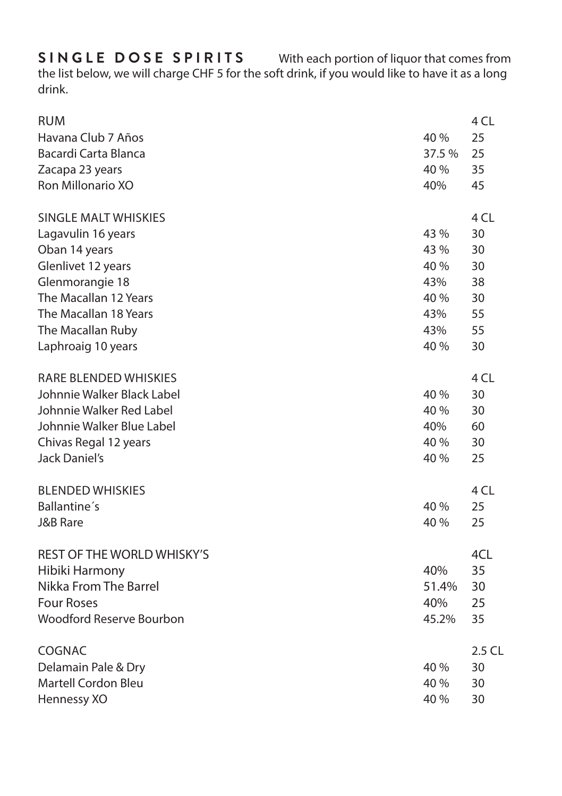the list below, we will charge CHF 5 for the soft drink, if you would like to have it as a long drink.

| <b>RUM</b>                                        |       | 4 CL   |
|---------------------------------------------------|-------|--------|
| Havana Club 7 Años                                | 40 %  | 25     |
| Bacardi Carta Blanca                              | 37.5% | 25     |
| Zacapa 23 years                                   | 40 %  | 35     |
| Ron Millonario XO                                 | 40%   | 45     |
|                                                   |       |        |
| SINGLE MALT WHISKIES                              |       | 4 CL   |
| Lagavulin 16 years                                | 43 %  | 30     |
| Oban 14 years                                     | 43 %  | 30     |
| Glenlivet 12 years                                | 40 %  | 30     |
| Glenmorangie 18                                   | 43%   | 38     |
| The Macallan 12 Years                             | 40 %  | 30     |
| The Macallan 18 Years                             | 43%   | 55     |
| The Macallan Ruby                                 | 43%   | 55     |
| Laphroaig 10 years                                | 40 %  | 30     |
| RARE BLENDED WHISKIES                             |       | 4 CL   |
| Johnnie Walker Black Label                        | 40 %  | 30     |
| Johnnie Walker Red Label                          | 40 %  | 30     |
| Johnnie Walker Blue Label                         | 40%   | 60     |
| Chivas Regal 12 years                             | 40 %  | 30     |
| Jack Daniel's                                     | 40 %  | 25     |
|                                                   |       |        |
| <b>BLENDED WHISKIES</b>                           |       | 4 CL   |
| Ballantine's                                      | 40 %  | 25     |
| <b>J&amp;B Rare</b>                               | 40 %  | 25     |
| REST OF THE WORLD WHISKY'S                        |       | 4CL    |
| Hibiki Harmony                                    | 40%   | 35     |
| Nikka From The Barrel                             | 51.4% | 30     |
| <b>Four Roses</b>                                 | 40%   | 25     |
| Woodford Reserve Bourbon                          | 45.2% | 35     |
| COGNAC                                            |       | 2.5 CL |
|                                                   | 40 %  | 30     |
| Delamain Pale & Dry<br><b>Martell Cordon Bleu</b> | 40 %  | 30     |
|                                                   |       |        |
| Hennessy XO                                       | 40 %  | 30     |